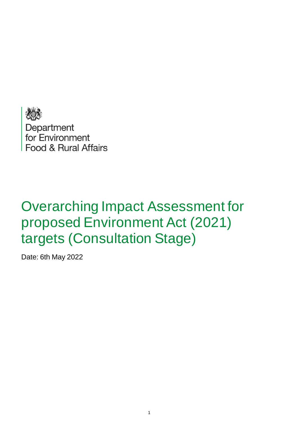

Department<br>for Environment Food & Rural Affairs

# Overarching Impact Assessment for proposed Environment Act (2021) targets (Consultation Stage)

Date: 6th May 2022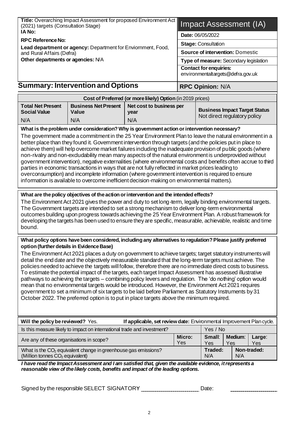|                                                                                                                                                                                                                                                                                                                                                                                                                                                                                                                                                                                                                                                                                                                                                                                                                                                                                                                                                                                                                                                                                                                                                                                                                                                                                                                                                                                                                                                                                                                         | Title: Overarching Impact Assessment for proposed Environment Act<br>(2021) targets (Consultation Stage)                                                                                     |                                                            |               | <b>Impact Assessment (IA)</b>           |                                      |               |  |
|-------------------------------------------------------------------------------------------------------------------------------------------------------------------------------------------------------------------------------------------------------------------------------------------------------------------------------------------------------------------------------------------------------------------------------------------------------------------------------------------------------------------------------------------------------------------------------------------------------------------------------------------------------------------------------------------------------------------------------------------------------------------------------------------------------------------------------------------------------------------------------------------------------------------------------------------------------------------------------------------------------------------------------------------------------------------------------------------------------------------------------------------------------------------------------------------------------------------------------------------------------------------------------------------------------------------------------------------------------------------------------------------------------------------------------------------------------------------------------------------------------------------------|----------------------------------------------------------------------------------------------------------------------------------------------------------------------------------------------|------------------------------------------------------------|---------------|-----------------------------------------|--------------------------------------|---------------|--|
| IA No:                                                                                                                                                                                                                                                                                                                                                                                                                                                                                                                                                                                                                                                                                                                                                                                                                                                                                                                                                                                                                                                                                                                                                                                                                                                                                                                                                                                                                                                                                                                  |                                                                                                                                                                                              |                                                            |               | Date: 06/05/2022                        |                                      |               |  |
| <b>RPC Reference No:</b><br>Lead department or agency: Department for Enviornment, Food,                                                                                                                                                                                                                                                                                                                                                                                                                                                                                                                                                                                                                                                                                                                                                                                                                                                                                                                                                                                                                                                                                                                                                                                                                                                                                                                                                                                                                                |                                                                                                                                                                                              |                                                            |               | <b>Stage: Consultation</b>              |                                      |               |  |
| and Rural Affairs (Defra)                                                                                                                                                                                                                                                                                                                                                                                                                                                                                                                                                                                                                                                                                                                                                                                                                                                                                                                                                                                                                                                                                                                                                                                                                                                                                                                                                                                                                                                                                               |                                                                                                                                                                                              |                                                            |               | <b>Source of intervention: Domestic</b> |                                      |               |  |
| Other departments or agencies: N/A                                                                                                                                                                                                                                                                                                                                                                                                                                                                                                                                                                                                                                                                                                                                                                                                                                                                                                                                                                                                                                                                                                                                                                                                                                                                                                                                                                                                                                                                                      |                                                                                                                                                                                              |                                                            |               | Type of measure: Secondary legislation  |                                      |               |  |
|                                                                                                                                                                                                                                                                                                                                                                                                                                                                                                                                                                                                                                                                                                                                                                                                                                                                                                                                                                                                                                                                                                                                                                                                                                                                                                                                                                                                                                                                                                                         |                                                                                                                                                                                              |                                                            |               | <b>Contact for enquiries:</b>           |                                      |               |  |
|                                                                                                                                                                                                                                                                                                                                                                                                                                                                                                                                                                                                                                                                                                                                                                                                                                                                                                                                                                                                                                                                                                                                                                                                                                                                                                                                                                                                                                                                                                                         |                                                                                                                                                                                              |                                                            |               | environmentaltargets@defra.gov.uk       |                                      |               |  |
|                                                                                                                                                                                                                                                                                                                                                                                                                                                                                                                                                                                                                                                                                                                                                                                                                                                                                                                                                                                                                                                                                                                                                                                                                                                                                                                                                                                                                                                                                                                         | <b>Summary: Intervention and Options</b>                                                                                                                                                     |                                                            |               | <b>RPC Opinion: N/A</b>                 |                                      |               |  |
|                                                                                                                                                                                                                                                                                                                                                                                                                                                                                                                                                                                                                                                                                                                                                                                                                                                                                                                                                                                                                                                                                                                                                                                                                                                                                                                                                                                                                                                                                                                         |                                                                                                                                                                                              | Cost of Preferred (or more likely) Option (in 2019 prices) |               |                                         |                                      |               |  |
| <b>Total Net Present</b>                                                                                                                                                                                                                                                                                                                                                                                                                                                                                                                                                                                                                                                                                                                                                                                                                                                                                                                                                                                                                                                                                                                                                                                                                                                                                                                                                                                                                                                                                                | <b>Business Net Present</b>                                                                                                                                                                  | Net cost to business per                                   |               |                                         | <b>Business Impact Target Status</b> |               |  |
| <b>Social Value</b>                                                                                                                                                                                                                                                                                                                                                                                                                                                                                                                                                                                                                                                                                                                                                                                                                                                                                                                                                                                                                                                                                                                                                                                                                                                                                                                                                                                                                                                                                                     | Value                                                                                                                                                                                        | year                                                       |               |                                         | Not direct regulatory policy         |               |  |
| N/A                                                                                                                                                                                                                                                                                                                                                                                                                                                                                                                                                                                                                                                                                                                                                                                                                                                                                                                                                                                                                                                                                                                                                                                                                                                                                                                                                                                                                                                                                                                     | N/A                                                                                                                                                                                          | N/A                                                        |               |                                         |                                      |               |  |
| What is the problem under consideration? Why is government action or intervention necessary?<br>The government made a commitment in the 25 Year Environment Plan to leave the natural environment in a<br>better place than they found it. Government intervention through targets (and the policies put in place to<br>achieve them) will help overcome market failures including the inadequate provision of public goods (where<br>non-rivalry and non-excludability mean many aspects of the natural environment is underprovided without<br>government intervention), negative externalities (where environmental costs and benefits often accrue to third<br>parties in economic transactions in ways that are not fully reflected in market prices leading to<br>overconsumption) and incomplete information (where government intervention is required to ensure<br>information is available to overcome inefficient decision-making on environmental matters).<br>What are the policy objectives of the action or intervention and the intended effects?<br>The Environment Act 2021 gives the power and duty to set long-term, legally binding environmental targets.<br>The Government targets are intended to set a strong mechanism to deliver long-term environmental<br>outcomes building upon progress towards achieving the 25 Year Environment Plan. A robust framework for<br>developing the targets has been used to ensure they are specific, measurable, achievable, realistic and time<br>bound. |                                                                                                                                                                                              |                                                            |               |                                         |                                      |               |  |
| What policy options have been considered, including any alternatives to regulation? Please justify preferred<br>option (further details in Evidence Base)<br>The Environment Act 2021 places a duty on government to achieve targets; target statutory instruments will<br>detail the end date and the objectively measurable standard that the long-term targets must achieve. The<br>policies needed to achieve the targets will follow, therefore there are no immediate direct costs to business.<br>To estimate the potential impact of the targets, each target Impact Assessment has assessed illustrative<br>pathways to achieving the targets – combining policy levers and regulation. The 'do nothing' option would<br>mean that no environmental targets would be introduced. However, the Environment Act 2021 requires<br>government to set a minimum of six targets to be laid before Parliament as Statutory Instruments by 31<br>October 2022. The preferred option is to put in place targets above the minimum required.                                                                                                                                                                                                                                                                                                                                                                                                                                                                             |                                                                                                                                                                                              |                                                            |               |                                         |                                      |               |  |
| Will the policy be reviewed? Yes.<br>If applicable, set review date: Environmental Improvement Plan cycle.                                                                                                                                                                                                                                                                                                                                                                                                                                                                                                                                                                                                                                                                                                                                                                                                                                                                                                                                                                                                                                                                                                                                                                                                                                                                                                                                                                                                              |                                                                                                                                                                                              |                                                            |               |                                         |                                      |               |  |
|                                                                                                                                                                                                                                                                                                                                                                                                                                                                                                                                                                                                                                                                                                                                                                                                                                                                                                                                                                                                                                                                                                                                                                                                                                                                                                                                                                                                                                                                                                                         | Is this measure likely to impact on international trade and investment?                                                                                                                      |                                                            |               | Yes / No                                |                                      |               |  |
| Are any of these organisations in scope?                                                                                                                                                                                                                                                                                                                                                                                                                                                                                                                                                                                                                                                                                                                                                                                                                                                                                                                                                                                                                                                                                                                                                                                                                                                                                                                                                                                                                                                                                |                                                                                                                                                                                              |                                                            | Micro:<br>Yes | Small:<br>Yes                           | Medium:<br>Yes                       | Large:<br>Yes |  |
| Traded:<br>Non-traded:<br>What is the CO <sub>2</sub> equivalent change in greenhouse gas emissions?<br>(Million tonnes CO <sub>2</sub> equivalent)<br>N/A<br>N/A                                                                                                                                                                                                                                                                                                                                                                                                                                                                                                                                                                                                                                                                                                                                                                                                                                                                                                                                                                                                                                                                                                                                                                                                                                                                                                                                                       |                                                                                                                                                                                              |                                                            |               |                                         |                                      |               |  |
|                                                                                                                                                                                                                                                                                                                                                                                                                                                                                                                                                                                                                                                                                                                                                                                                                                                                                                                                                                                                                                                                                                                                                                                                                                                                                                                                                                                                                                                                                                                         | I have read the Impact Assessment and I am satisfied that, given the available evidence, it represents a<br>reasonable view of the likely costs, benefits and impact of the leading options. |                                                            |               |                                         |                                      |               |  |

Signed by the responsible SELECT SIGNATORY: Date: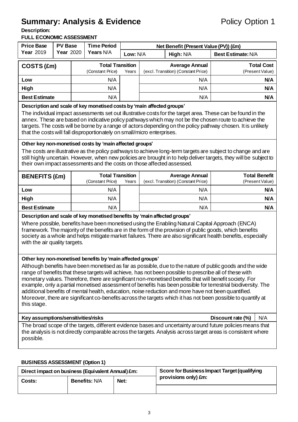# **Summary: Analysis & Evidence** Policy Option 1

**Description:** 

#### **FULL ECONOMIC ASSESSMENT**

| FULL ECONOMIC ASSESSMENT<br><b>Price Base</b>                                                                                                                                                                                                                                                                                                                                                                                                                                                                                                                                                                                                                                                                                   | <b>PV Base</b>                                                                                                                                                                                                                                                                                                                                                                                                                                                                            |                                                      | <b>Time Period</b>                                                                          |          |                                                              | Net Benefit (Present Value (PV)) (£m)   |                                                                                                                                                                                                                            |
|---------------------------------------------------------------------------------------------------------------------------------------------------------------------------------------------------------------------------------------------------------------------------------------------------------------------------------------------------------------------------------------------------------------------------------------------------------------------------------------------------------------------------------------------------------------------------------------------------------------------------------------------------------------------------------------------------------------------------------|-------------------------------------------------------------------------------------------------------------------------------------------------------------------------------------------------------------------------------------------------------------------------------------------------------------------------------------------------------------------------------------------------------------------------------------------------------------------------------------------|------------------------------------------------------|---------------------------------------------------------------------------------------------|----------|--------------------------------------------------------------|-----------------------------------------|----------------------------------------------------------------------------------------------------------------------------------------------------------------------------------------------------------------------------|
| Year 2019                                                                                                                                                                                                                                                                                                                                                                                                                                                                                                                                                                                                                                                                                                                       | <b>Year 2020</b>                                                                                                                                                                                                                                                                                                                                                                                                                                                                          |                                                      | Years N/A                                                                                   | Low: N/A |                                                              | High: N/A                               | <b>Best Estimate: N/A</b>                                                                                                                                                                                                  |
| COSTS (£m)                                                                                                                                                                                                                                                                                                                                                                                                                                                                                                                                                                                                                                                                                                                      |                                                                                                                                                                                                                                                                                                                                                                                                                                                                                           | <b>Total Transition</b><br>(Constant Price)<br>Years |                                                                                             |          | <b>Average Annual</b><br>(excl. Transition) (Constant Price) | <b>Total Cost</b><br>(Present Value)    |                                                                                                                                                                                                                            |
| Low                                                                                                                                                                                                                                                                                                                                                                                                                                                                                                                                                                                                                                                                                                                             |                                                                                                                                                                                                                                                                                                                                                                                                                                                                                           |                                                      | N/A                                                                                         |          |                                                              | N/A                                     | N/A                                                                                                                                                                                                                        |
| High                                                                                                                                                                                                                                                                                                                                                                                                                                                                                                                                                                                                                                                                                                                            |                                                                                                                                                                                                                                                                                                                                                                                                                                                                                           |                                                      | N/A                                                                                         |          |                                                              | N/A                                     | N/A                                                                                                                                                                                                                        |
| <b>Best Estimate</b>                                                                                                                                                                                                                                                                                                                                                                                                                                                                                                                                                                                                                                                                                                            |                                                                                                                                                                                                                                                                                                                                                                                                                                                                                           |                                                      | N/A                                                                                         |          |                                                              | N/A                                     | N/A                                                                                                                                                                                                                        |
|                                                                                                                                                                                                                                                                                                                                                                                                                                                                                                                                                                                                                                                                                                                                 | Description and scale of key monetised costs by 'main affected groups'<br>The individual impact assessments set out illustrative costs for the target area. These can be found in the<br>annex. These are based on indicative policy pathways which may not be the chosen route to achieve the<br>targets. The costs will be borne by a range of actors depending on the policy pathway chosen. It is unlikely<br>that the costs will fall disproportionately on small/micro enterprises. |                                                      |                                                                                             |          |                                                              |                                         |                                                                                                                                                                                                                            |
|                                                                                                                                                                                                                                                                                                                                                                                                                                                                                                                                                                                                                                                                                                                                 | Other key non-monetised costs by 'main affected groups'<br>The costs are illustrative as the policy pathways to achieve long-term targets are subject to change and are<br>still highly uncertain. However, when new policies are brought in to help deliver targets, they will be subject to<br>their own impact assessments and the costs on those affected assessed.                                                                                                                   |                                                      |                                                                                             |          |                                                              |                                         |                                                                                                                                                                                                                            |
| <b>BENEFITS (£m)</b>                                                                                                                                                                                                                                                                                                                                                                                                                                                                                                                                                                                                                                                                                                            |                                                                                                                                                                                                                                                                                                                                                                                                                                                                                           |                                                      | <b>Total Transition</b><br>(Constant Price)<br>(excl. Transition) (Constant Price)<br>Years |          | <b>Average Annual</b>                                        | <b>Total Benefit</b><br>(Present Value) |                                                                                                                                                                                                                            |
| Low                                                                                                                                                                                                                                                                                                                                                                                                                                                                                                                                                                                                                                                                                                                             |                                                                                                                                                                                                                                                                                                                                                                                                                                                                                           |                                                      | N/A                                                                                         |          |                                                              | N/A                                     | N/A                                                                                                                                                                                                                        |
| High                                                                                                                                                                                                                                                                                                                                                                                                                                                                                                                                                                                                                                                                                                                            |                                                                                                                                                                                                                                                                                                                                                                                                                                                                                           |                                                      | N/A                                                                                         |          |                                                              | N/A                                     | N/A                                                                                                                                                                                                                        |
| <b>Best Estimate</b>                                                                                                                                                                                                                                                                                                                                                                                                                                                                                                                                                                                                                                                                                                            |                                                                                                                                                                                                                                                                                                                                                                                                                                                                                           |                                                      | N/A                                                                                         |          | N/A                                                          |                                         | N/A                                                                                                                                                                                                                        |
| Description and scale of key monetised benefits by 'main affected groups'<br>Where possible, benefits have been monetised using the Enabling Natural Capital Approach (ENCA)<br>framework. The majority of the benefits are in the form of the provision of public goods, which benefits<br>society as a whole and helps mitigate market failures. There are also significant health benefits, especially<br>with the air quality targets.<br>Other key non-monetised benefits by 'main affected groups'<br>Although benefits have been monetised as far as possible, due to the nature of public goods and the wide<br>range of benefits that these targets will achieve, has not been possible to prescribe all of these with |                                                                                                                                                                                                                                                                                                                                                                                                                                                                                           |                                                      |                                                                                             |          |                                                              |                                         |                                                                                                                                                                                                                            |
| monetary values. Therefore, there are significant non-monetised benefits that will benefit society. For<br>example, only a partial monetised assessment of benefits has been possible for terrestrial biodiversity. The<br>additional benefits of mental health, education, noise reduction and more have not been quantified.<br>Moreover, there are significant co-benefits across the targets which it has not been possible to quantify at<br>this stage.                                                                                                                                                                                                                                                                   |                                                                                                                                                                                                                                                                                                                                                                                                                                                                                           |                                                      |                                                                                             |          |                                                              |                                         |                                                                                                                                                                                                                            |
|                                                                                                                                                                                                                                                                                                                                                                                                                                                                                                                                                                                                                                                                                                                                 | N/A<br>Key assumptions/sensitivities/risks<br>Discount rate (%)                                                                                                                                                                                                                                                                                                                                                                                                                           |                                                      |                                                                                             |          |                                                              |                                         |                                                                                                                                                                                                                            |
| possible.                                                                                                                                                                                                                                                                                                                                                                                                                                                                                                                                                                                                                                                                                                                       |                                                                                                                                                                                                                                                                                                                                                                                                                                                                                           |                                                      |                                                                                             |          |                                                              |                                         | The broad scope of the targets, different evidence bases and uncertainty around future policies means that<br>the analysis is not directly comparable across the targets. Analysis across target areas is consistent where |

#### **BUSINESS ASSESSMENT (Option 1)**

| Direct impact on business (Equivalent Annual) £m: |                      |      | Score for Business Impact Target (qualifying |
|---------------------------------------------------|----------------------|------|----------------------------------------------|
| Costs:                                            | <b>Benefits: N/A</b> | Net: | provisions only) £m:                         |
|                                                   |                      |      |                                              |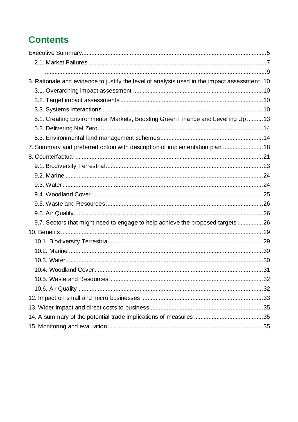# **Contents**

| 3. Rationale and evidence to justify the level of analysis used in the impact assessment .10 |  |
|----------------------------------------------------------------------------------------------|--|
|                                                                                              |  |
|                                                                                              |  |
|                                                                                              |  |
| 5.1. Creating Environmental Markets, Boosting Green Finance and Levelling Up  13             |  |
|                                                                                              |  |
|                                                                                              |  |
| 7. Summary and preferred option with description of implementation plan  18                  |  |
|                                                                                              |  |
|                                                                                              |  |
|                                                                                              |  |
|                                                                                              |  |
|                                                                                              |  |
|                                                                                              |  |
|                                                                                              |  |
| 9.7. Sectors that might need to engage to help achieve the proposed targets 26               |  |
|                                                                                              |  |
|                                                                                              |  |
|                                                                                              |  |
|                                                                                              |  |
|                                                                                              |  |
|                                                                                              |  |
|                                                                                              |  |
|                                                                                              |  |
|                                                                                              |  |
|                                                                                              |  |
|                                                                                              |  |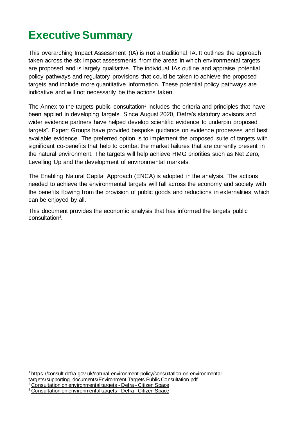# <span id="page-4-0"></span>**Executive Summary**

This overarching Impact Assessment (IA) is **not** a traditional IA. It outlines the approach taken across the six impact assessments from the areas in which environmental targets are proposed and is largely qualitative. The individual IAs outline and appraise potential policy pathways and regulatory provisions that could be taken to achieve the proposed targets and include more quantitative information. These potential policy pathways are indicative and will not necessarily be the actions taken.

The Annex to the targets public consultation<sup>1</sup> includes the criteria and principles that have been applied in developing targets. Since August 2020, Defra's statutory advisors and wider evidence partners have helped develop scientific evidence to underpin proposed targets<sup>2</sup>. Expert Groups have provided bespoke guidance on evidence processes and best available evidence. The preferred option is to implement the proposed suite of targets with significant co-benefits that help to combat the market failures that are currently present in the natural environment. The targets will help achieve HMG priorities such as Net Zero, Levelling Up and the development of environmental markets.

The Enabling Natural Capital Approach (ENCA) is adopted in the analysis. The actions needed to achieve the environmental targets will fall across the economy and society with the benefits flowing from the provision of public goods and reductions in externalities which can be enjoyed by all.

This document provides the economic analysis that has informed the targets public consultation<sup>3</sup>.

<sup>1</sup> [https://consult.defra.gov.uk/natural-environment-policy/consultation-on-environmental-](https://consult.defra.gov.uk/natural-environment-policy/consultation-on-environmental-targets/supporting_documents/Environment%20Targets%20Public%20Consultation.pdf)

[targets/supporting\\_documents/Environment Targets Public Consultation.pdf](https://consult.defra.gov.uk/natural-environment-policy/consultation-on-environmental-targets/supporting_documents/Environment%20Targets%20Public%20Consultation.pdf)

<sup>2</sup> [Consultation on environmental targets -](https://consult.defra.gov.uk/natural-environment-policy/consultation-on-environmental-targets/) Defra - Citizen Space

<sup>3</sup> Consultation on environmental targets - Defra - Citizen Space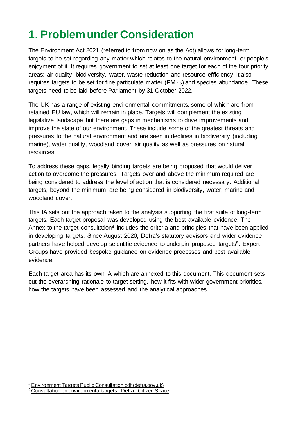# **1. Problem under Consideration**

The Environment Act 2021 (referred to from now on as the Act) allows for long-term targets to be set regarding any matter which relates to the natural environment, or people's enjoyment of it. It requires government to set at least one target for each of the four priority areas: air quality, biodiversity, water, waste reduction and resource efficiency. It also requires targets to be set for fine particulate matter (PM2.5) and species abundance. These targets need to be laid before Parliament by 31 October 2022.

The UK has a range of existing environmental commitments, some of which are from retained EU law, which will remain in place. Targets will complement the existing legislative landscape but there are gaps in mechanisms to drive improvements and improve the state of our environment. These include some of the greatest threats and pressures to the natural environment and are seen in declines in biodiversity (including marine), water quality, woodland cover, air quality as well as pressures on natural resources.

To address these gaps, legally binding targets are being proposed that would deliver action to overcome the pressures. Targets over and above the minimum required are being considered to address the level of action that is considered necessary. Additional targets, beyond the minimum, are being considered in biodiversity, water, marine and woodland cover.

This IA sets out the approach taken to the analysis supporting the first suite of long-term targets. Each target proposal was developed using the best available evidence. The Annex to the target consultation<sup>4</sup> includes the criteria and principles that have been applied in developing targets. Since August 2020, Defra's statutory advisors and wider evidence partners have helped develop scientific evidence to underpin proposed targets<sup>5</sup>. Expert Groups have provided bespoke guidance on evidence processes and best available evidence.

Each target area has its own IA which are annexed to this document. This document sets out the overarching rationale to target setting, how it fits with wider government priorities, how the targets have been assessed and the analytical approaches.

<sup>&</sup>lt;sup>4</sup> [Environment Targets Public Consultation.pdf \(defra.gov.uk\)](https://consult.defra.gov.uk/natural-environment-policy/consultation-on-environmental-targets/supporting_documents/Environment%20Targets%20Public%20Consultation.pdf)

<sup>5</sup> [Consultation on environmental targets -](https://consult.defra.gov.uk/natural-environment-policy/consultation-on-environmental-targets/) Defra - Citizen Space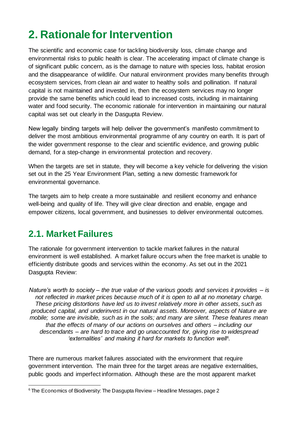# **2. Rationale for Intervention**

The scientific and economic case for tackling biodiversity loss, climate change and environmental risks to public health is clear. The accelerating impact of climate change is of significant public concern, as is the damage to nature with species loss, habitat erosion and the disappearance of wildlife. Our natural environment provides many benefits through ecosystem services, from clean air and water to healthy soils and pollination. If natural capital is not maintained and invested in, then the ecosystem services may no longer provide the same benefits which could lead to increased costs, including in maintaining water and food security. The economic rationale for intervention in maintaining our natural capital was set out clearly in the Dasgupta Review.

New legally binding targets will help deliver the government's manifesto commitment to deliver the most ambitious environmental programme of any country on earth. It is part of the wider government response to the clear and scientific evidence, and growing public demand, for a step-change in environmental protection and recovery.

When the targets are set in statute, they will become a key vehicle for delivering the vision set out in the 25 Year Environment Plan, setting a new domestic framework for environmental governance.

The targets aim to help create a more sustainable and resilient economy and enhance well-being and quality of life. They will give clear direction and enable, engage and empower citizens, local government, and businesses to deliver environmental outcomes.

## <span id="page-6-0"></span>**2.1. Market Failures**

The rationale for government intervention to tackle market failures in the natural environment is well established. A market failure occurs when the free market is unable to efficiently distribute goods and services within the economy. As set out in the 2021 Dasgupta Review:

*Nature's worth to society – the true value of the various goods and services it provides – is not reflected in market prices because much of it is open to all at no monetary charge. These pricing distortions have led us to invest relatively more in other assets, such as produced capital, and underinvest in our natural assets. Moreover, aspects of Nature are mobile; some are invisible, such as in the soils; and many are silent. These features mean that the effects of many of our actions on ourselves and others – including our descendants – are hard to trace and go unaccounted for, giving rise to widespread 'externalities' and making it hard for markets to function well<sup>6</sup> .*

There are numerous market failures associated with the environment that require government intervention. The main three for the target areas are negative externalities, public goods and imperfect information. Although these are the most apparent market

 $6$  The Economics of Biodiversity: The Dasgupta Review – Headline Messages, page 2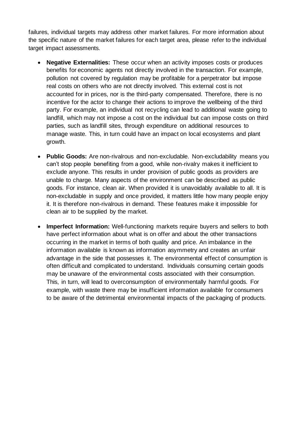failures, individual targets may address other market failures. For more information about the specific nature of the market failures for each target area, please refer to the individual target impact assessments.

- **Negative Externalities:** These occur when an activity imposes costs or produces benefits for economic agents not directly involved in the transaction. For example, pollution not covered by regulation may be profitable for a perpetrator but impose real costs on others who are not directly involved. This external cost is not accounted for in prices, nor is the third-party compensated. Therefore, there is no incentive for the actor to change their actions to improve the wellbeing of the third party. For example, an individual not recycling can lead to additional waste going to landfill, which may not impose a cost on the individual but can impose costs on third parties, such as landfill sites, through expenditure on additional resources to manage waste. This, in turn could have an impact on local ecosystems and plant growth.
- **Public Goods:** Are non-rivalrous and non-excludable. Non-excludability means you can't stop people benefiting from a good, while non-rivalry makes it inefficient to exclude anyone. This results in under provision of public goods as providers are unable to charge. Many aspects of the environment can be described as public goods. For instance, clean air. When provided it is unavoidably available to all. It is non-excludable in supply and once provided, it matters little how many people enjoy it. It is therefore non-rivalrous in demand. These features make it impossible for clean air to be supplied by the market.
- **Imperfect Information:** Well-functioning markets require buyers and sellers to both have perfect information about what is on offer and about the other transactions occurring in the market in terms of both quality and price. An imbalance in the information available is known as information asymmetry and creates an unfair advantage in the side that possesses it. The environmental effect of consumption is often difficult and complicated to understand. Individuals consuming certain goods may be unaware of the environmental costs associated with their consumption. This, in turn, will lead to overconsumption of environmentally harmful goods. For example, with waste there may be insufficient information available for consumers to be aware of the detrimental environmental impacts of the packaging of products.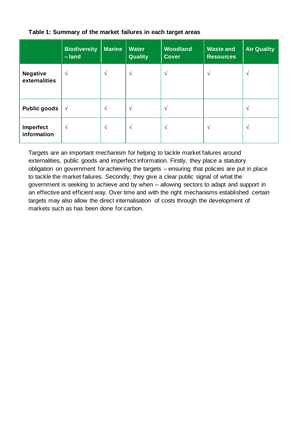|                                  | <b>Biodiversity</b><br>-land | <b>Marine</b> | <b>Water</b><br><b>Quality</b> | <b>Woodland</b><br><b>Cover</b> | <b>Waste and</b><br><b>Resources</b> | <b>Air Quality</b> |
|----------------------------------|------------------------------|---------------|--------------------------------|---------------------------------|--------------------------------------|--------------------|
| <b>Negative</b><br>externalities | N                            | $\mathcal{N}$ | V                              | N                               | V                                    | $\mathcal{N}$      |
| <b>Public goods</b>              | $\sqrt{ }$                   | $\mathcal{N}$ | $\mathcal{N}$                  | $\mathcal{N}$                   |                                      | $\mathcal{L}$      |
| Imperfect<br>information         | $\mathcal{N}$                | $\mathcal{N}$ | V                              | $\sqrt{ }$                      | V                                    | $\sqrt{ }$         |

#### <span id="page-8-0"></span>**Table 1: Summary of the market failures in each target areas**

Targets are an important mechanism for helping to tackle market failures around externalities, public goods and imperfect information. Firstly, they place a statutory obligation on government for achieving the targets – ensuring that policies are put in place to tackle the market failures. Secondly, they give a clear public signal of what the government is seeking to achieve and by when – allowing sectors to adapt and support in an effective and efficient way. Over time and with the right mechanisms established certain targets may also allow the direct internalisation of costs through the development of markets such as has been done for carbon.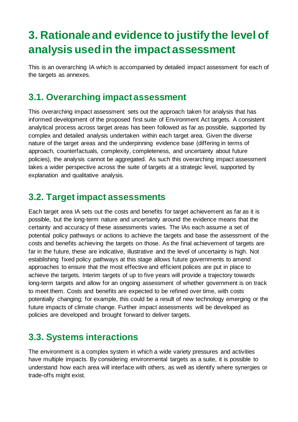# <span id="page-9-0"></span>**3. Rationale and evidence to justify the level of analysis used in the impact assessment**

This is an overarching IA which is accompanied by detailed impact assessment for each of the targets as annexes.

# <span id="page-9-1"></span>**3.1. Overarching impact assessment**

This overarching impact assessment sets out the approach taken for analysis that has informed development of the proposed first suite of Environment Act targets. A consistent analytical process across target areas has been followed as far as possible, supported by complex and detailed analysis undertaken within each target area. Given the diverse nature of the target areas and the underpinning evidence base (differing in terms of approach, counterfactuals, complexity, completeness, and uncertainty about future policies), the analysis cannot be aggregated. As such this overarching impact assessment takes a wider perspective across the suite of targets at a strategic level, supported by explanation and qualitative analysis.

#### <span id="page-9-2"></span>**3.2. Target impact assessments**

Each target area IA sets out the costs and benefits for target achievement as far as it is possible, but the long-term nature and uncertainty around the evidence means that the certainty and accuracy of these assessments varies. The IAs each assume a set of potential policy pathways or actions to achieve the targets and base the assessment of the costs and benefits achieving the targets on those. As the final achievement of targets are far in the future, these are indicative, illustrative and the level of uncertainty is high. Not establishing fixed policy pathways at this stage allows future governments to amend approaches to ensure that the most effective and efficient polices are put in place to achieve the targets. Interim targets of up to five years will provide a trajectory towards long-term targets and allow for an ongoing assessment of whether government is on track to meet them. Costs and benefits are expected to be refined over time, with costs potentially changing; for example, this could be a result of new technology emerging or the future impacts of climate change. Further impact assessments will be developed as policies are developed and brought forward to deliver targets.

## <span id="page-9-3"></span>**3.3. Systems interactions**

The environment is a complex system in which a wide variety pressures and activities have multiple impacts. By considering environmental targets as a suite, it is possible to understand how each area will interface with others, as well as identify where synergies or trade-offs might exist.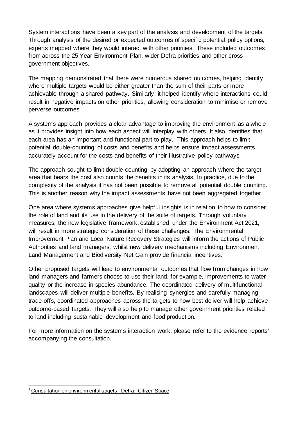System interactions have been a key part of the analysis and development of the targets. Through analysis of the desired or expected outcomes of specific potential policy options, experts mapped where they would interact with other priorities. These included outcomes from across the 25 Year Environment Plan, wider Defra priorities and other crossgovernment objectives.

The mapping demonstrated that there were numerous shared outcomes, helping identify where multiple targets would be either greater than the sum of their parts or more achievable through a shared pathway. Similarly, it helped identify where interactions could result in negative impacts on other priorities, allowing consideration to minimise or remove perverse outcomes.

A systems approach provides a clear advantage to improving the environment as a whole as it provides insight into how each aspect will interplay with others. It also identifies that each area has an important and functional part to play. This approach helps to limit potential double-counting of costs and benefits and helps ensure impact assessments accurately account for the costs and benefits of their illustrative policy pathways.

The approach sought to limit double-counting by adopting an approach where the target area that bears the cost also counts the benefits in its analysis. In practice, due to the complexity of the analysis it has not been possible to remove all potential double counting. This is another reason why the impact assessments have not been aggregated together.

One area where systems approaches give helpful insights is in relation to how to consider the role of land and its use in the delivery of the suite of targets. Through voluntary measures, the new legislative framework, established under the Environment Act 2021, will result in more strategic consideration of these challenges. The Environmental Improvement Plan and Local Nature Recovery Strategies will inform the actions of Public Authorities and land managers, whilst new delivery mechanisms including Environment Land Management and Biodiversity Net Gain provide financial incentives.

Other proposed targets will lead to environmental outcomes that flow from changes in how land managers and farmers choose to use their land, for example, improvements to water quality or the increase in species abundance. The coordinated delivery of multifunctional landscapes will deliver multiple benefits. By realising synergies and carefully managing trade-offs, coordinated approaches across the targets to how best deliver will help achieve outcome-based targets. They will also help to manage other government priorities related to land including sustainable development and food production.

For more information on the systems interaction work, please refer to the evidence reports<sup>7</sup> accompanying the consultation.

<sup>&</sup>lt;sup>7</sup> [Consultation on environmental targets -](https://consult.defra.gov.uk/natural-environment-policy/consultation-on-environmental-targets/) Defra - Citizen Space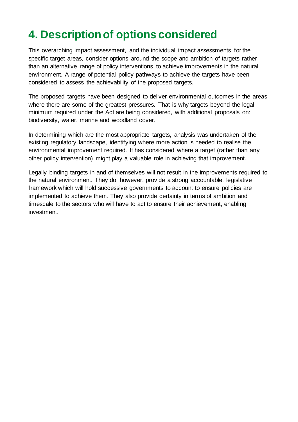# **4. Description of options considered**

This overarching impact assessment, and the individual impact assessments for the specific target areas, consider options around the scope and ambition of targets rather than an alternative range of policy interventions to achieve improvements in the natural environment. A range of potential policy pathways to achieve the targets have been considered to assess the achievability of the proposed targets.

The proposed targets have been designed to deliver environmental outcomes in the areas where there are some of the greatest pressures. That is why targets beyond the legal minimum required under the Act are being considered, with additional proposals on: biodiversity, water, marine and woodland cover.

In determining which are the most appropriate targets, analysis was undertaken of the existing regulatory landscape, identifying where more action is needed to realise the environmental improvement required. It has considered where a target (rather than any other policy intervention) might play a valuable role in achieving that improvement.

Legally binding targets in and of themselves will not result in the improvements required to the natural environment. They do, however, provide a strong accountable, legislative framework which will hold successive governments to account to ensure policies are implemented to achieve them. They also provide certainty in terms of ambition and timescale to the sectors who will have to act to ensure their achievement, enabling investment.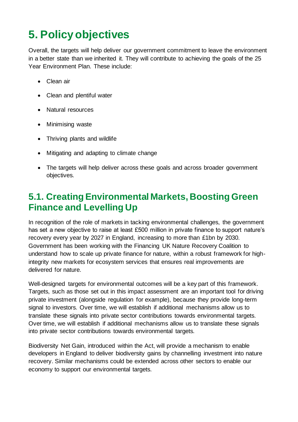# **5. Policy objectives**

Overall, the targets will help deliver our government commitment to leave the environment in a better state than we inherited it. They will contribute to achieving the goals of the 25 Year Environment Plan. These include:

- Clean air
- Clean and plentiful water
- Natural resources
- Minimising waste
- Thriving plants and wildlife
- Mitigating and adapting to climate change
- The targets will help deliver across these goals and across broader government objectives.

## <span id="page-12-0"></span>**5.1. Creating Environmental Markets, Boosting Green Finance and Levelling Up**

In recognition of the role of markets in tacking environmental challenges, the government has set a new objective to raise at least £500 million in private finance to support nature's recovery every year by 2027 in England, increasing to more than £1bn by 2030. Government has been working with the Financing UK Nature Recovery Coalition to understand how to scale up private finance for nature, within a robust framework for highintegrity new markets for ecosystem services that ensures real improvements are delivered for nature.

Well-designed targets for environmental outcomes will be a key part of this framework. Targets, such as those set out in this impact assessment are an important tool for driving private investment (alongside regulation for example), because they provide long-term signal to investors. Over time, we will establish if additional mechanisms allow us to translate these signals into private sector contributions towards environmental targets. Over time, we will establish if additional mechanisms allow us to translate these signals into private sector contributions towards environmental targets.

Biodiversity Net Gain, introduced within the Act, will provide a mechanism to enable developers in England to deliver biodiversity gains by channelling investment into nature recovery. Similar mechanisms could be extended across other sectors to enable our economy to support our environmental targets.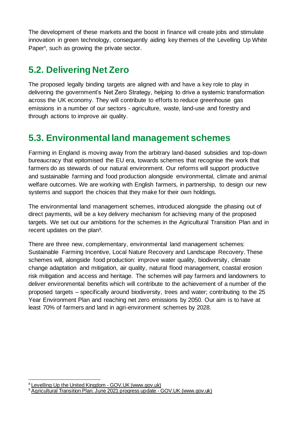The development of these markets and the boost in finance will create jobs and stimulate innovation in green technology, consequently aiding key themes of the Levelling Up White Paper<sup>8</sup>, such as growing the private sector.

# <span id="page-13-0"></span>**5.2. Delivering Net Zero**

The proposed legally binding targets are aligned with and have a key role to play in delivering the government's Net Zero Strategy, helping to drive a systemic transformation across the UK economy. They will contribute to efforts to reduce greenhouse gas emissions in a number of our sectors - agriculture, waste, land-use and forestry and through actions to improve air quality.

## <span id="page-13-1"></span>**5.3. Environmental land management schemes**

Farming in England is moving away from the arbitrary land-based subsidies and top-down bureaucracy that epitomised the EU era, towards schemes that recognise the work that farmers do as stewards of our natural environment. Our reforms will support productive and sustainable farming and food production alongside environmental, climate and animal welfare outcomes. We are working with English farmers, in partnership, to design our new systems and support the choices that they make for their own holdings.

The environmental land management schemes, introduced alongside the phasing out of direct payments, will be a key delivery mechanism for achieving many of the proposed targets. We set out our ambitions for the schemes in the Agricultural Transition Plan and in recent updates on the plan<sup>9</sup>.

There are three new, complementary, environmental land management schemes: Sustainable Farming Incentive, Local Nature Recovery and Landscape Recovery. These schemes will, alongside food production: improve water quality, biodiversity, climate change adaptation and mitigation, air quality, natural flood management, coastal erosion risk mitigation and access and heritage. The schemes will pay farmers and landowners to deliver environmental benefits which will contribute to the achievement of a number of the proposed targets – specifically around biodiversity, trees and water; contributing to the 25 Year Environment Plan and reaching net zero emissions by 2050. Our aim is to have at least 70% of farmers and land in agri-environment schemes by 2028.

<sup>8</sup> [Levelling Up the United Kingdom -](https://www.gov.uk/government/publications/levelling-up-the-united-kingdom) GOV.UK (www.gov.uk)

<sup>&</sup>lt;sup>9</sup> [Agricultural Transition Plan: June 2021 progress update -](https://www.gov.uk/government/publications/agricultural-transition-plan-june-2021-progress-update) GOV.UK (www.gov.uk)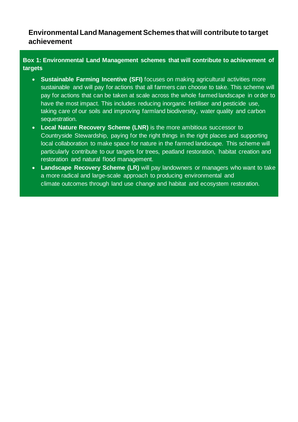#### **Environmental Land Management Schemes that will contribute to target achievement**

#### **Box 1: Environmental Land Management schemes that will contribute to achievement of targets**

- **Sustainable Farming Incentive (SFI)** focuses on making agricultural activities more sustainable and will pay for actions that all farmers can choose to take. This scheme will pay for actions that can be taken at scale across the whole farmed landscape in order to have the most impact. This includes reducing inorganic fertiliser and pesticide use, taking care of our soils and improving farmland biodiversity, water quality and carbon sequestration.
- **Local Nature Recovery Scheme (LNR)** is the more ambitious successor to Countryside Stewardship, paying for the right things in the right places and supporting local collaboration to make space for nature in the farmed landscape. This scheme will particularly contribute to our targets for trees, peatland restoration, habitat creation and restoration and natural flood management.
- **Landscape Recovery Scheme (LR)** will pay landowners or managers who want to take a more radical and large-scale approach to producing environmental and climate outcomes through land use change and habitat and ecosystem restoration.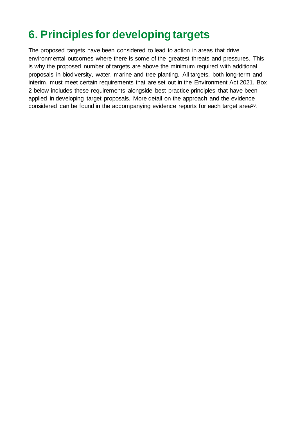# **6. Principles for developing targets**

The proposed targets have been considered to lead to action in areas that drive environmental outcomes where there is some of the greatest threats and pressures. This is why the proposed number of targets are above the minimum required with additional proposals in biodiversity, water, marine and tree planting. All targets, both long-term and interim, must meet certain requirements that are set out in the Environment Act 2021. Box 2 below includes these requirements alongside best practice principles that have been applied in developing target proposals. More detail on the approach and the evidence considered can be found in the accompanying evidence reports for each target area<sup>10</sup>.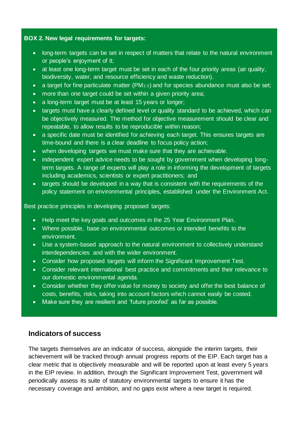#### **BOX 2. New legal requirements for targets:**

- long-term targets can be set in respect of matters that relate to the natural environment or people's enjoyment of it;
- at least one long-term target must be set in each of the four priority areas (air quality, biodiversity, water, and resource efficiency and waste reduction).
- a target for fine particulate matter (PM2.5) and for species abundance must also be set;
- more than one target could be set within a given priority area;
- a long-term target must be at least 15 years or longer;
- targets must have a clearly defined level or quality standard to be achieved, which can be objectively measured. The method for objective measurement should be clear and repeatable, to allow results to be reproducible within reason;
- a specific date must be identified for achieving each target. This ensures targets are time-bound and there is a clear deadline to focus policy action;
- when developing targets we must make sure that they are achievable.
- independent expert advice needs to be sought by government when developing longterm targets. A range of experts will play a role in informing the development of targets including academics, scientists or expert practitioners; and
- targets should be developed in a way that is consistent with the requirements of the policy statement on environmental principles, established under the Environment Act.

Best practice principles in developing proposed targets:

- Help meet the key goals and outcomes in the 25 Year Environment Plan.
- Where possible, base on environmental outcomes or intended benefits to the environment.
- Use a system-based approach to the natural environment to collectively understand interdependencies and with the wider environment.
- Consider how proposed targets will inform the Significant Improvement Test.
- Consider relevant international best practice and commitments and their relevance to our domestic environmental agenda.
- Consider whether they offer value for money to society and offer the best balance of costs, benefits, risks, taking into account factors which cannot easily be costed.
- Make sure they are resilient and 'future proofed' as far as possible.

#### **Indicators of success**

The targets themselves are an indicator of success, alongside the interim targets, their achievement will be tracked through annual progress reports of the EIP. Each target has a clear metric that is objectively measurable and will be reported upon at least every 5 years in the EIP review. In addition, through the Significant Improvement Test, government will periodically assess its suite of statutory environmental targets to ensure it has the necessary coverage and ambition, and no gaps exist where a new target is required.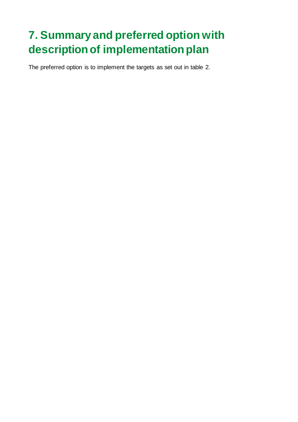# <span id="page-17-0"></span>**7. Summary and preferred option with description of implementation plan**

The preferred option is to implement the targets as set out in table 2.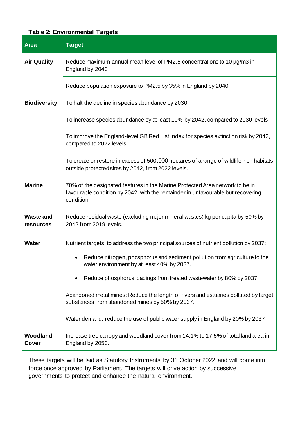#### **Table 2: Environmental Targets**

| <b>Area</b>                          | <b>Target</b>                                                                                                                                                                |  |  |  |
|--------------------------------------|------------------------------------------------------------------------------------------------------------------------------------------------------------------------------|--|--|--|
| <b>Air Quality</b>                   | Reduce maximum annual mean level of PM2.5 concentrations to 10 µg/m3 in<br>England by 2040                                                                                   |  |  |  |
|                                      | Reduce population exposure to PM2.5 by 35% in England by 2040                                                                                                                |  |  |  |
| <b>Biodiversity</b>                  | To halt the decline in species abundance by 2030                                                                                                                             |  |  |  |
|                                      | To increase species abundance by at least 10% by 2042, compared to 2030 levels                                                                                               |  |  |  |
|                                      | To improve the England-level GB Red List Index for species extinction risk by 2042,<br>compared to 2022 levels.                                                              |  |  |  |
|                                      | To create or restore in excess of 500,000 hectares of a range of wildlife-rich habitats<br>outside protected sites by 2042, from 2022 levels.                                |  |  |  |
| <b>Marine</b>                        | 70% of the designated features in the Marine Protected Area network to be in<br>favourable condition by 2042, with the remainder in unfavourable but recovering<br>condition |  |  |  |
| <b>Waste and</b><br><b>resources</b> | Reduce residual waste (excluding major mineral wastes) kg per capita by 50% by<br>2042 from 2019 levels.                                                                     |  |  |  |
| <b>Water</b>                         | Nutrient targets: to address the two principal sources of nutrient pollution by 2037:                                                                                        |  |  |  |
|                                      | Reduce nitrogen, phosphorus and sediment pollution from agriculture to the<br>water environment by at least 40% by 2037.                                                     |  |  |  |
|                                      | Reduce phosphorus loadings from treated wastewater by 80% by 2037.                                                                                                           |  |  |  |
|                                      | Abandoned metal mines: Reduce the length of rivers and estuaries polluted by target<br>substances from abandoned mines by 50% by 2037.                                       |  |  |  |
|                                      | Water demand: reduce the use of public water supply in England by 20% by 2037                                                                                                |  |  |  |
| Woodland<br><b>Cover</b>             | Increase tree canopy and woodland cover from 14.1% to 17.5% of total land area in<br>England by 2050.                                                                        |  |  |  |

These targets will be laid as Statutory Instruments by 31 October 2022 and will come into force once approved by Parliament. The targets will drive action by successive governments to protect and enhance the natural environment.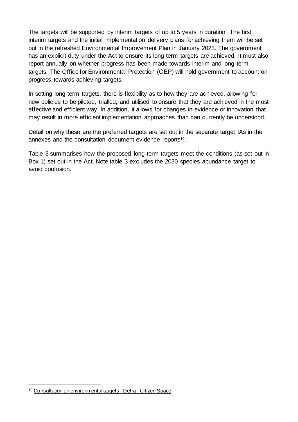The targets will be supported by interim targets of up to 5 years in duration. The first interim targets and the initial implementation delivery plans for achieving them will be set out in the refreshed Environmental Improvement Plan in January 2023. The government has an explicit duty under the Act to ensure its long-term targets are achieved. It must also report annually on whether progress has been made towards interim and long-term targets. The Office for Environmental Protection (OEP) will hold government to account on progress towards achieving targets.

In setting long-term targets, there is flexibility as to how they are achieved, allowing for new policies to be piloted, trialled, and utilised to ensure that they are achieved in the most effective and efficient way. In addition, it allows for changes in evidence or innovation that may result in more efficient implementation approaches than can currently be understood.

Detail on why these are the preferred targets are set out in the separate target IAs in the annexes and the consultation document evidence reports<sup>10</sup>.

Table 3 summarises how the proposed long-term targets meet the conditions (as set out in Box 1) set out in the Act. Note table 3 excludes the 2030 species abundance target to avoid confusion.

<sup>10</sup> [Consultation on environmental targets -](https://consult.defra.gov.uk/natural-environment-policy/consultation-on-environmental-targets/) Defra - Citizen Space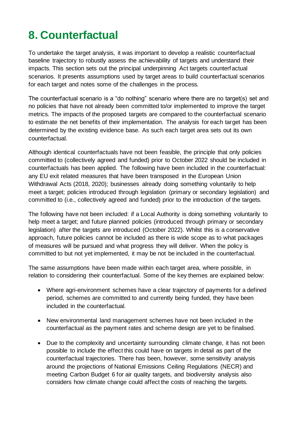# <span id="page-20-0"></span>**8. Counterfactual**

To undertake the target analysis, it was important to develop a realistic counterfactual baseline trajectory to robustly assess the achievability of targets and understand their impacts. This section sets out the principal underpinning Act targets counterfactual scenarios. It presents assumptions used by target areas to build counterfactual scenarios for each target and notes some of the challenges in the process.

The counterfactual scenario is a "do nothing" scenario where there are no target(s) set and no policies that have not already been committed to/or implemented to improve the target metrics. The impacts of the proposed targets are compared to the counterfactual scenario to estimate the net benefits of their implementation. The analysis for each target has been determined by the existing evidence base. As such each target area sets out its own counterfactual.

Although identical counterfactuals have not been feasible, the principle that only policies committed to (collectively agreed and funded) prior to October 2022 should be included in counterfactuals has been applied. The following have been included in the counterfactual: any EU exit related measures that have been transposed in the European Union Withdrawal Acts (2018, 2020); businesses already doing something voluntarily to help meet a target; policies introduced through legislation (primary or secondary legislation) and committed to (i.e., collectively agreed and funded) prior to the introduction of the targets.

The following have not been included: if a Local Authority is doing something voluntarily to help meet a target; and future planned policies (introduced through primary or secondary legislation) after the targets are introduced (October 2022). Whilst this is a conservative approach, future policies cannot be included as there is wide scope as to what packages of measures will be pursued and what progress they will deliver. When the policy is committed to but not yet implemented, it may be not be included in the counterfactual.

The same assumptions have been made within each target area, where possible, in relation to considering their counterfactual. Some of the key themes are explained below:

- Where agri-environment schemes have a clear trajectory of payments for a defined period, schemes are committed to and currently being funded, they have been included in the counterfactual.
- New environmental land management schemes have not been included in the counterfactual as the payment rates and scheme design are yet to be finalised.
- Due to the complexity and uncertainty surrounding climate change, it has not been possible to include the effect this could have on targets in detail as part of the counterfactual trajectories. There has been, however, some sensitivity analysis around the projections of National Emissions Ceiling Regulations (NECR) and meeting Carbon Budget 6 for air quality targets, and biodiversity analysis also considers how climate change could affect the costs of reaching the targets.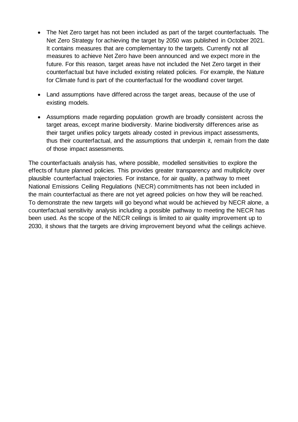- The Net Zero target has not been included as part of the target counterfactuals. The Net Zero Strategy for achieving the target by 2050 was published in October 2021. It contains measures that are complementary to the targets. Currently not all measures to achieve Net Zero have been announced and we expect more in the future. For this reason, target areas have not included the Net Zero target in their counterfactual but have included existing related policies. For example, the Nature for Climate fund is part of the counterfactual for the woodland cover target.
- Land assumptions have differed across the target areas, because of the use of existing models.
- Assumptions made regarding population growth are broadly consistent across the target areas, except marine biodiversity. Marine biodiversity differences arise as their target unifies policy targets already costed in previous impact assessments, thus their counterfactual, and the assumptions that underpin it, remain from the date of those impact assessments.

The counterfactuals analysis has, where possible, modelled sensitivities to explore the effects of future planned policies. This provides greater transparency and multiplicity over plausible counterfactual trajectories. For instance, for air quality, a pathway to meet National Emissions Ceiling Regulations (NECR) commitments has not been included in the main counterfactual as there are not yet agreed policies on how they will be reached. To demonstrate the new targets will go beyond what would be achieved by NECR alone, a counterfactual sensitivity analysis including a possible pathway to meeting the NECR has been used. As the scope of the NECR ceilings is limited to air quality improvement up to 2030, it shows that the targets are driving improvement beyond what the ceilings achieve.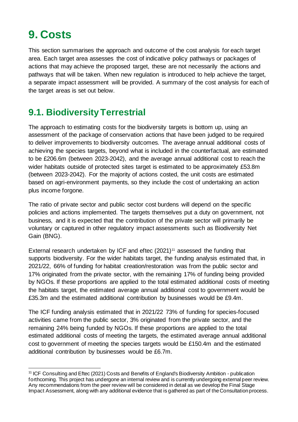# **9. Costs**

This section summarises the approach and outcome of the cost analysis for each target area. Each target area assesses the cost of indicative policy pathways or packages of actions that may achieve the proposed target, these are not necessarily the actions and pathways that will be taken. When new regulation is introduced to help achieve the target, a separate impact assessment will be provided. A summary of the cost analysis for each of the target areas is set out below.

## <span id="page-22-0"></span>**9.1. Biodiversity Terrestrial**

The approach to estimating costs for the biodiversity targets is bottom up, using an assessment of the package of conservation actions that have been judged to be required to deliver improvements to biodiversity outcomes. The average annual additional costs of achieving the species targets, beyond what is included in the counterfactual, are estimated to be £206.6m (between 2023-2042), and the average annual additional cost to reach the wider habitats outside of protected sites target is estimated to be approximately £53.8m (between 2023-2042). For the majority of actions costed, the unit costs are estimated based on agri-environment payments, so they include the cost of undertaking an action plus income forgone.

The ratio of private sector and public sector cost burdens will depend on the specific policies and actions implemented. The targets themselves put a duty on government, not business, and it is expected that the contribution of the private sector will primarily be voluntary or captured in other regulatory impact assessments such as Biodiversity Net Gain (BNG).

External research undertaken by ICF and eftec  $(2021)^{11}$  assessed the funding that supports biodiversity. For the wider habitats target, the funding analysis estimated that, in 2021/22, 66% of funding for habitat creation/restoration was from the public sector and 17% originated from the private sector, with the remaining 17% of funding being provided by NGOs. If these proportions are applied to the total estimated additional costs of meeting the habitats target, the estimated average annual additional cost to government would be £35.3m and the estimated additional contribution by businesses would be £9.4m.

The ICF funding analysis estimated that in 2021/22 73% of funding for species-focused activities came from the public sector, 3% originated from the private sector, and the remaining 24% being funded by NGOs. If these proportions are applied to the total estimated additional costs of meeting the targets, the estimated average annual additional cost to government of meeting the species targets would be £150.4m and the estimated additional contribution by businesses would be £6.7m.

<sup>11</sup> ICF Consulting and Eftec (2021) Costs and Benefits of England's Biodiversity Ambition - publication forthcoming. This project has undergone an internal review and is currently undergoing external peer review. Any recommendations from the peer review will be considered in detail as we develop the Final Stage Impact Assessment, along with any additional evidence that is gathered as part of the Consultation process.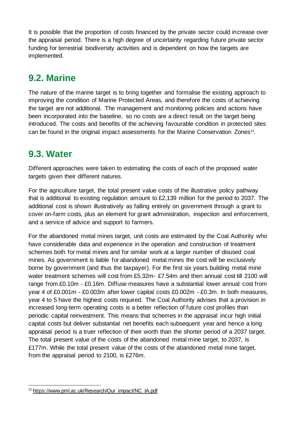It is possible that the proportion of costs financed by the private sector could increase over the appraisal period. There is a high degree of uncertainty regarding future private sector funding for terrestrial biodiversity activities and is dependent on how the targets are implemented.

## <span id="page-23-0"></span>**9.2. Marine**

The nature of the marine target is to bring together and formalise the existing approach to improving the condition of Marine Protected Areas, and therefore the costs of achieving the target are not additional. The management and monitoring policies and actions have been incorporated into the baseline, so no costs are a direct result on the target being introduced. The costs and benefits of the achieving favourable condition in protected sites can be found in the original impact assessments for the Marine Conservation Zones<sup>12</sup>.

#### <span id="page-23-1"></span>**9.3. Water**

Different approaches were taken to estimating the costs of each of the proposed water targets given their different natures.

For the agriculture target, the total present value costs of the illustrative policy pathway that is additional to existing regulation amount to £2,139 million for the period to 2037. The additional cost is shown illustratively as falling entirely on government through a grant to cover on-farm costs, plus an element for grant administration, inspection and enforcement, and a service of advice and support to farmers.

For the abandoned metal mines target, unit costs are estimated by the Coal Authority who have considerable data and experience in the operation and construction of treatment schemes both for metal mines and for similar work at a larger number of disused coal mines. As government is liable for abandoned metal mines the cost will be exclusively borne by government (and thus the taxpayer). For the first six years building metal mine water treatment schemes will cost from £5.32m- £7.54m and then annual cost till 2100 will range from £0.10m - £0.16m. Diffuse measures have a substantial lower annual cost from year 4 of £0.001m - £0.003m after lower capital costs £0.002m - £0.3m. In both measures, year 4 to 5 have the highest costs required. The Coal Authority advises that a provision in increased long-term operating costs is a better reflection of future cost profiles than periodic capital reinvestment. This means that schemes in the appraisal incur high initial capital costs but deliver substantial net benefits each subsequent year and hence a long appraisal period is a truer reflection of their worth than the shorter period of a 2037 target. The total present value of the costs of the abandoned metal mine target, to 2037, is £177m. While the total present value of the costs of the abandoned metal mine target, from the appraisal period to 2100, is £276m.

<sup>&</sup>lt;sup>12</sup> https://www.pml.ac.uk/Research/Our\_impact/NC\_IA.pdf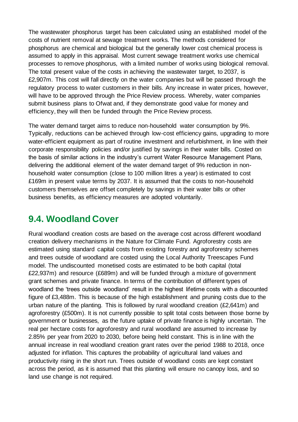The wastewater phosphorus target has been calculated using an established model of the costs of nutrient removal at sewage treatment works. The methods considered for phosphorus are chemical and biological but the generally lower cost chemical process is assumed to apply in this appraisal. Most current sewage treatment works use chemical processes to remove phosphorus, with a limited number of works using biological removal. The total present value of the costs in achieving the wastewater target, to 2037, is £2,907m. This cost will fall directly on the water companies but will be passed through the regulatory process to water customers in their bills. Any increase in water prices, however, will have to be approved through the Price Review process. Whereby, water companies submit business plans to Ofwat and, if they demonstrate good value for money and efficiency, they will then be funded through the Price Review process.

The water demand target aims to reduce non-household water consumption by 9%. Typically, reductions can be achieved through low-cost efficiency gains, upgrading to more water-efficient equipment as part of routine investment and refurbishment, in line with their corporate responsibility policies and/or justified by savings in their water bills. Costed on the basis of similar actions in the industry's current Water Resource Management Plans, delivering the additional element of the water demand target of 9% reduction in nonhousehold water consumption (close to 100 million litres a year) is estimated to cost £169m in present value terms by 2037. It is assumed that the costs to non-household customers themselves are offset completely by savings in their water bills or other business benefits, as efficiency measures are adopted voluntarily.

#### <span id="page-24-0"></span>**9.4. Woodland Cover**

Rural woodland creation costs are based on the average cost across different woodland creation delivery mechanisms in the Nature for Climate Fund. Agroforestry costs are estimated using standard capital costs from existing forestry and agroforestry schemes and trees outside of woodland are costed using the Local Authority Treescapes Fund model. The undiscounted monetised costs are estimated to be both capital (total £22,937m) and resource (£689m) and will be funded through a mixture of government grant schemes and private finance. In terms of the contribution of different types of woodland the 'trees outside woodland' result in the highest lifetime costs with a discounted figure of £3,488m. This is because of the high establishment and pruning costs due to the urban nature of the planting. This is followed by rural woodland creation (£2,641m) and agroforestry (£500m). It is not currently possible to split total costs between those borne by government or businesses, as the future uptake of private finance is highly uncertain. The real per hectare costs for agroforestry and rural woodland are assumed to increase by 2.85% per year from 2020 to 2030, before being held constant. This is in line with the annual increase in real woodland creation grant rates over the period 1988 to 2018, once adjusted for inflation. This captures the probability of agricultural land values and productivity rising in the short run. Trees outside of woodland costs are kept constant across the period, as it is assumed that this planting will ensure no canopy loss, and so land use change is not required.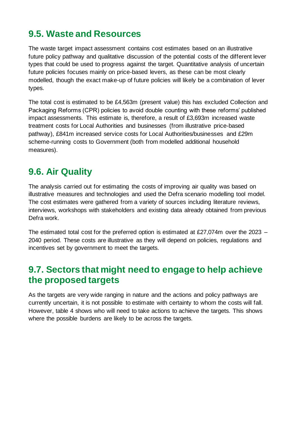## <span id="page-25-0"></span>**9.5. Waste and Resources**

The waste target impact assessment contains cost estimates based on an illustrative future policy pathway and qualitative discussion of the potential costs of the different lever types that could be used to progress against the target. Quantitative analysis of uncertain future policies focuses mainly on price-based levers, as these can be most clearly modelled, though the exact make-up of future policies will likely be a combination of lever types.

The total cost is estimated to be £4,563m (present value) this has excluded Collection and Packaging Reforms (CPR) policies to avoid double counting with these reforms' published impact assessments. This estimate is, therefore, a result of £3,693m increased waste treatment costs for Local Authorities and businesses (from illustrative price-based pathway), £841m increased service costs for Local Authorities/businesses and £29m scheme-running costs to Government (both from modelled additional household measures).

## <span id="page-25-1"></span>**9.6. Air Quality**

The analysis carried out for estimating the costs of improving air quality was based on illustrative measures and technologies and used the Defra scenario modelling tool model. The cost estimates were gathered from a variety of sources including literature reviews, interviews, workshops with stakeholders and existing data already obtained from previous Defra work.

The estimated total cost for the preferred option is estimated at £27,074m over the 2023  $-$ 2040 period. These costs are illustrative as they will depend on policies, regulations and incentives set by government to meet the targets.

#### <span id="page-25-2"></span>**9.7. Sectors that might need to engage to help achieve the proposed targets**

As the targets are very wide ranging in nature and the actions and policy pathways are currently uncertain, it is not possible to estimate with certainty to whom the costs will fall. However, table 4 shows who will need to take actions to achieve the targets. This shows where the possible burdens are likely to be across the targets.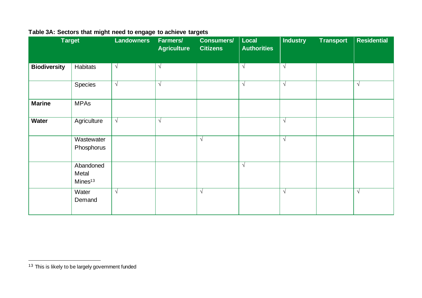|                     | <b>Target</b>                             | <b>Landowners</b> | Farmers/<br><b>Agriculture</b> | <b>Consumers/</b><br><b>Citizens</b> | Local<br><b>Authorities</b> | <b>Industry</b> | <b>Transport</b> | <b>Residential</b> |
|---------------------|-------------------------------------------|-------------------|--------------------------------|--------------------------------------|-----------------------------|-----------------|------------------|--------------------|
| <b>Biodiversity</b> | Habitats                                  | $\sqrt{ }$        | $\sqrt{}$                      |                                      | $\sqrt{ }$                  | $\sqrt{ }$      |                  |                    |
|                     | Species                                   | $\sqrt{ }$        | $\sqrt{ }$                     |                                      | $\sqrt{}$                   | $\sqrt{ }$      |                  | $\sqrt{ }$         |
| <b>Marine</b>       | <b>MPAs</b>                               |                   |                                |                                      |                             |                 |                  |                    |
| <b>Water</b>        | Agriculture                               | $\sqrt{ }$        | $\sqrt{ }$                     |                                      |                             | $\sqrt{ }$      |                  |                    |
|                     | Wastewater<br>Phosphorus                  |                   |                                | $\sqrt{ }$                           |                             | $\sqrt{ }$      |                  |                    |
|                     | Abandoned<br>Metal<br>Mines <sup>13</sup> |                   |                                |                                      | $\sqrt{ }$                  |                 |                  |                    |
|                     | Water<br>Demand                           | $\sqrt{ }$        |                                | $\sqrt{ }$                           |                             | $\sqrt{ }$      |                  | $\sqrt{ }$         |

#### **Table 3A: Sectors that might need to engage to achieve targets**

<sup>&</sup>lt;sup>13</sup> This is likely to be largely government funded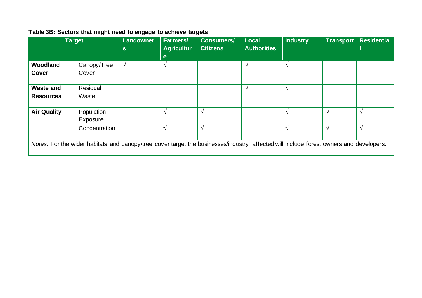|                                                                                                                                        | <b>Target</b> | <b>Landowner</b><br>S. | <b>Farmers/</b><br><b>Agricultur</b><br>e | <b>Consumers/</b><br><b>Citizens</b> | <b>Local</b><br><b>Authorities</b> | <b>Industry</b> | Transport     | <b>Residentia</b> |
|----------------------------------------------------------------------------------------------------------------------------------------|---------------|------------------------|-------------------------------------------|--------------------------------------|------------------------------------|-----------------|---------------|-------------------|
| Woodland                                                                                                                               | Canopy/Tree   | $\sqrt{ }$             | $\mathcal{N}$                             |                                      | $\mathcal{N}$                      |                 |               |                   |
| Cover                                                                                                                                  | Cover         |                        |                                           |                                      |                                    |                 |               |                   |
| <b>Waste and</b>                                                                                                                       | Residual      |                        |                                           |                                      | $\mathcal{N}$                      | $\mathcal{N}$   |               |                   |
| <b>Resources</b>                                                                                                                       | Waste         |                        |                                           |                                      |                                    |                 |               |                   |
| <b>Air Quality</b>                                                                                                                     | Population    |                        |                                           | $\sim$                               |                                    | $\sim$          | $\mathcal{N}$ | $\Delta$          |
|                                                                                                                                        | Exposure      |                        |                                           |                                      |                                    |                 |               |                   |
|                                                                                                                                        | Concentration |                        | $\sqrt{ }$                                | $\sqrt{ }$                           |                                    |                 | $\mathcal{N}$ | $\mathcal{N}$     |
| Notes: For the wider habitats and canopy/tree cover target the businesses/industry affected will include forest owners and developers. |               |                        |                                           |                                      |                                    |                 |               |                   |

#### **Table 3B: Sectors that might need to engage to achieve targets**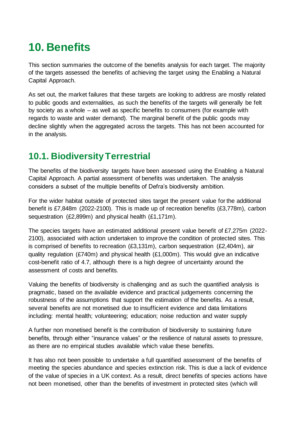# <span id="page-28-0"></span>**10. Benefits**

This section summaries the outcome of the benefits analysis for each target. The majority of the targets assessed the benefits of achieving the target using the Enabling a Natural Capital Approach.

As set out, the market failures that these targets are looking to address are mostly related to public goods and externalities, as such the benefits of the targets will generally be felt by society as a whole – as well as specific benefits to consumers (for example with regards to waste and water demand). The marginal benefit of the public goods may decline slightly when the aggregated across the targets. This has not been accounted for in the analysis.

# <span id="page-28-1"></span>**10.1. Biodiversity Terrestrial**

The benefits of the biodiversity targets have been assessed using the Enabling a Natural Capital Approach. A partial assessment of benefits was undertaken. The analysis considers a subset of the multiple benefits of Defra's biodiversity ambition.

For the wider habitat outside of protected sites target the present value for the additional benefit is £7,848m (2022-2100). This is made up of recreation benefits (£3,778m), carbon sequestration (£2,899m) and physical health (£1,171m).

The species targets have an estimated additional present value benefit of £7,275m (2022- 2100), associated with action undertaken to improve the condition of protected sites. This is comprised of benefits to recreation (£3,131m), carbon sequestration (£2,404m), air quality regulation (£740m) and physical health (£1,000m). This would give an indicative cost-benefit ratio of 4.7, although there is a high degree of uncertainty around the assessment of costs and benefits.

Valuing the benefits of biodiversity is challenging and as such the quantified analysis is pragmatic, based on the available evidence and practical judgements concerning the robustness of the assumptions that support the estimation of the benefits. As a result, several benefits are not monetised due to insufficient evidence and data limitations including: mental health; volunteering; education; noise reduction and water supply

A further non monetised benefit is the contribution of biodiversity to sustaining future benefits, through either "insurance values" or the resilience of natural assets to pressure, as there are no empirical studies available which value these benefits.

It has also not been possible to undertake a full quantified assessment of the benefits of meeting the species abundance and species extinction risk. This is due a lack of evidence of the value of species in a UK context. As a result, direct benefits of species actions have not been monetised, other than the benefits of investment in protected sites (which will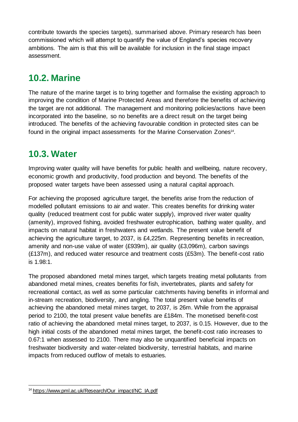contribute towards the species targets), summarised above. Primary research has been commissioned which will attempt to quantify the value of England's species recovery ambitions. The aim is that this will be available for inclusion in the final stage impact assessment.

## <span id="page-29-0"></span>**10.2. Marine**

The nature of the marine target is to bring together and formalise the existing approach to improving the condition of Marine Protected Areas and therefore the benefits of achieving the target are not additional. The management and monitoring policies/actions have been incorporated into the baseline, so no benefits are a direct result on the target being introduced. The benefits of the achieving favourable condition in protected sites can be found in the original impact assessments for the Marine Conservation Zones<sup>14</sup>.

#### <span id="page-29-1"></span>**10.3. Water**

Improving water quality will have benefits for public health and wellbeing, nature recovery, economic growth and productivity, food production and beyond. The benefits of the proposed water targets have been assessed using a natural capital approach.

For achieving the proposed agriculture target, the benefits arise from the reduction of modelled pollutant emissions to air and water. This creates benefits for drinking water quality (reduced treatment cost for public water supply), improved river water quality (amenity), improved fishing, avoided freshwater eutrophication, bathing water quality, and impacts on natural habitat in freshwaters and wetlands. The present value benefit of achieving the agriculture target, to 2037, is £4,225m. Representing benefits in recreation, amenity and non-use value of water (£939m), air quality (£3,096m), carbon savings (£137m), and reduced water resource and treatment costs (£53m). The benefit-cost ratio is 1.98:1.

The proposed abandoned metal mines target, which targets treating metal pollutants from abandoned metal mines, creates benefits for fish, invertebrates, plants and safety for recreational contact, as well as some particular catchments having benefits in informal and in-stream recreation, biodiversity, and angling. The total present value benefits of achieving the abandoned metal mines target, to 2037, is 26m. While from the appraisal period to 2100, the total present value benefits are £184m. The monetised benefit-cost ratio of achieving the abandoned metal mines target, to 2037, is 0.15. However, due to the high initial costs of the abandoned metal mines target, the benefit-cost ratio increases to 0.67:1 when assessed to 2100. There may also be unquantified beneficial impacts on freshwater biodiversity and water-related biodiversity, terrestrial habitats, and marine impacts from reduced outflow of metals to estuaries.

<sup>&</sup>lt;sup>14</sup> https://www.pml.ac.uk/Research/Our\_impact/NC\_IA.pdf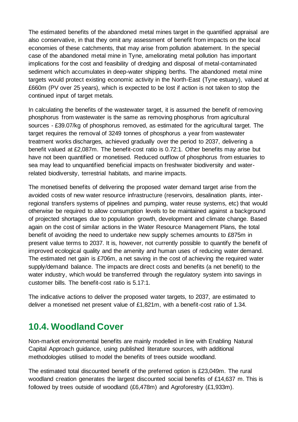The estimated benefits of the abandoned metal mines target in the quantified appraisal are also conservative, in that they omit any assessment of benefit from impacts on the local economies of these catchments, that may arise from pollution abatement. In the special case of the abandoned metal mine in Tyne, ameliorating metal pollution has important implications for the cost and feasibility of dredging and disposal of metal-contaminated sediment which accumulates in deep-water shipping berths. The abandoned metal mine targets would protect existing economic activity in the North-East (Tyne estuary), valued at £660m (PV over 25 years), which is expected to be lost if action is not taken to stop the continued input of target metals.

In calculating the benefits of the wastewater target, it is assumed the benefit of removing phosphorus from wastewater is the same as removing phosphorus from agricultural sources - £39.07/kg of phosphorus removed, as estimated for the agricultural target. The target requires the removal of 3249 tonnes of phosphorus a year from wastewater treatment works discharges, achieved gradually over the period to 2037, delivering a benefit valued at £2,087m. The benefit-cost ratio is 0.72:1. Other benefits may arise but have not been quantified or monetised. Reduced outflow of phosphorus from estuaries to sea may lead to unquantified beneficial impacts on freshwater biodiversity and waterrelated biodiversity, terrestrial habitats, and marine impacts.

The monetised benefits of delivering the proposed water demand target arise from the avoided costs of new water resource infrastructure (reservoirs, desalination plants, interregional transfers systems of pipelines and pumping, water reuse systems, etc) that would otherwise be required to allow consumption levels to be maintained against a background of projected shortages due to population growth, development and climate change. Based again on the cost of similar actions in the Water Resource Management Plans, the total benefit of avoiding the need to undertake new supply schemes amounts to £875m in present value terms to 2037. It is, however, not currently possible to quantify the benefit of improved ecological quality and the amenity and human uses of reducing water demand. The estimated net gain is £706m, a net saving in the cost of achieving the required water supply/demand balance. The impacts are direct costs and benefits (a net benefit) to the water industry, which would be transferred through the regulatory system into savings in customer bills. The benefit-cost ratio is 5.17:1.

The indicative actions to deliver the proposed water targets, to 2037, are estimated to deliver a monetised net present value of £1,821m, with a benefit-cost ratio of 1.34.

## <span id="page-30-0"></span>**10.4. Woodland Cover**

Non-market environmental benefits are mainly modelled in line with Enabling Natural Capital Approach guidance, using published literature sources, with additional methodologies utilised to model the benefits of trees outside woodland.

The estimated total discounted benefit of the preferred option is £23,049m. The rural woodland creation generates the largest discounted social benefits of £14,637 m. This is followed by trees outside of woodland (£6,478m) and Agroforestry (£1,933m).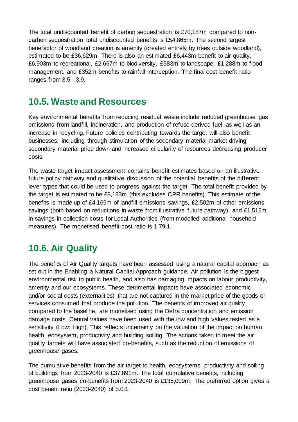The total undiscounted benefit of carbon sequestration is £70,187m compared to noncarbon sequestration total undiscounted benefits is £54,865m. The second largest benefactor of woodland creation is amenity (created entirely by trees outside woodland), estimated to be £36,629m. There is also an estimated £6,443m benefit to air quality, £6,903m to recreational, £2,667m to biodiversity, £583m to landscape, £1,288m to flood management, and £352m benefits to rainfall interception. The final cost-benefit ratio ranges from 3.5 - 3.9.

#### <span id="page-31-0"></span>**10.5. Waste and Resources**

Key environmental benefits from reducing residual waste include reduced greenhouse gas emissions from landfill, incineration, and production of refuse derived fuel, as well as an increase in recycling. Future policies contributing towards the target will also benefit businesses, including through stimulation of the secondary material market driving secondary material price down and increased circularity of resources decreasing producer costs.

The waste target impact assessment contains benefit estimates based on an illustrative future policy pathway and qualitative discussion of the potential benefits of the different lever types that could be used to progress against the target. The total benefit provided by the target is estimated to be £8,183m (this excludes CPR benefits). This estimate of the benefits is made up of £4,169m of landfill emissions savings, £2,502m of other emissions savings (both based on reductions in waste from illustrative future pathway), and £1,512m in savings in collection costs for Local Authorities (from modelled additional household measures). The monetised benefit-cost ratio is 1.79:1.

## <span id="page-31-1"></span>**10.6. Air Quality**

The benefits of Air Quality targets have been assessed using a natural capital approach as set out in the Enabling a Natural Capital Approach guidance. Air pollution is the biggest environmental risk to public health, and also has damaging impacts on labour productivity, amenity and our ecosystems. These detrimental impacts have associated economic and/or social costs (externalities) that are not captured in the market price of the goods or services consumed that produce the pollution. The benefits of improved air quality, compared to the baseline, are monetised using the Defra concentration and emission damage costs. Central values have been used with the low and high values tested as a sensitivity (Low; High). This reflects uncertainty on the valuation of the impact on human health, ecosystem, productivity and building soiling. The actions taken to meet the air quality targets will have associated co-benefits, such as the reduction of emissions of greenhouse gases.

The cumulative benefits from the air target to health, ecosystems, productivity and soiling of buildings from 2023-2040 is £37,891m. The total cumulative benefits, including greenhouse gases co-benefits from 2023-2040 is £135,009m. The preferred option gives a cost benefit ratio (2023-2040) of 5.0:1.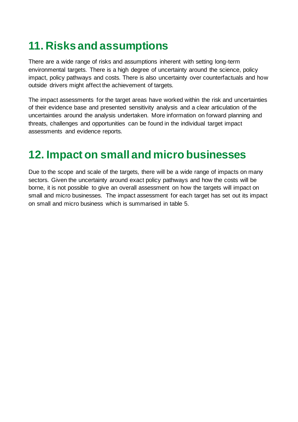# **11. Risks and assumptions**

There are a wide range of risks and assumptions inherent with setting long-term environmental targets. There is a high degree of uncertainty around the science, policy impact, policy pathways and costs. There is also uncertainty over counterfactuals and how outside drivers might affect the achievement of targets.

The impact assessments for the target areas have worked within the risk and uncertainties of their evidence base and presented sensitivity analysis and a clear articulation of the uncertainties around the analysis undertaken. More information on forward planning and threats, challenges and opportunities can be found in the individual target impact assessments and evidence reports.

# <span id="page-32-0"></span>**12. Impact on small and micro businesses**

Due to the scope and scale of the targets, there will be a wide range of impacts on many sectors. Given the uncertainty around exact policy pathways and how the costs will be borne, it is not possible to give an overall assessment on how the targets will impact on small and micro businesses. The impact assessment for each target has set out its impact on small and micro business which is summarised in table 5.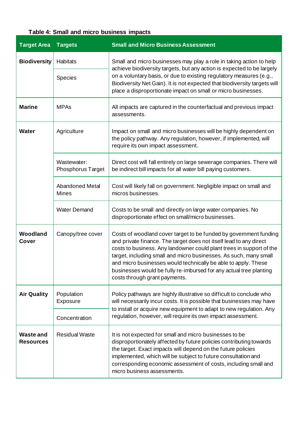#### **Table 4: Small and micro business impacts**

| <b>Target Area</b>                   | <b>Targets</b>                          | <b>Small and Micro Business Assessment</b>                                                                                                                                                                                                                                                                                                                                                                                                                    |
|--------------------------------------|-----------------------------------------|---------------------------------------------------------------------------------------------------------------------------------------------------------------------------------------------------------------------------------------------------------------------------------------------------------------------------------------------------------------------------------------------------------------------------------------------------------------|
| <b>Biodiversity</b>                  | Habitats                                | Small and micro businesses may play a role in taking action to help<br>achieve biodiversity targets, but any action is expected to be largely                                                                                                                                                                                                                                                                                                                 |
|                                      | Species                                 | on a voluntary basis, or due to existing regulatory measures (e.g.,<br>Biodiversity Net Gain). It is not expected that biodiversity targets will<br>place a disproportionate impact on small or micro businesses.                                                                                                                                                                                                                                             |
| <b>Marine</b>                        | <b>MPAs</b>                             | All impacts are captured in the counterfactual and previous impact<br>assessments.                                                                                                                                                                                                                                                                                                                                                                            |
| <b>Water</b>                         | Agriculture                             | Impact on small and micro businesses will be highly dependent on<br>the policy pathway. Any regulation, however, if implemented, will<br>require its own impact assessment.                                                                                                                                                                                                                                                                                   |
|                                      | Wastewater:<br><b>Phosphorus Target</b> | Direct cost will fall entirely on large sewerage companies. There will<br>be indirect bill impacts for all water bill paying customers.                                                                                                                                                                                                                                                                                                                       |
|                                      | <b>Abandoned Metal</b><br><b>Mines</b>  | Cost will likely fall on government. Negligible impact on small and<br>micros businesses.                                                                                                                                                                                                                                                                                                                                                                     |
|                                      | <b>Water Demand</b>                     | Costs to be small and directly on large water companies. No<br>disproportionate effect on small/micro businesses.                                                                                                                                                                                                                                                                                                                                             |
| Woodland<br>Cover                    | Canopy/tree cover                       | Costs of woodland cover target to be funded by government funding<br>and private finance. The target does not itself lead to any direct<br>costs to business. Any landowner could plant trees in support of the<br>target, including small and micro businesses. As such, many small<br>and micro businesses would technically be able to apply. These<br>businesses would be fully re-imbursed for any actual tree planting<br>costs through grant payments. |
| <b>Air Quality</b>                   | Population<br>Exposure                  | Policy pathways are highly illustrative so difficult to conclude who<br>will necessarily incur costs. It is possible that businesses may have                                                                                                                                                                                                                                                                                                                 |
|                                      | Concentration                           | to install or acquire new equipment to adapt to new regulation. Any<br>regulation, however, will require its own impact assessment.                                                                                                                                                                                                                                                                                                                           |
| <b>Waste and</b><br><b>Resources</b> | <b>Residual Waste</b>                   | It is not expected for small and micro businesses to be<br>disproportionately affected by future policies contributing towards<br>the target. Exact impacts will depend on the future policies<br>implemented, which will be subject to future consultation and<br>corresponding economic assessment of costs, including small and<br>micro business assessments.                                                                                             |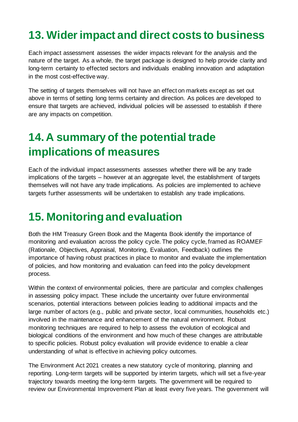# <span id="page-34-0"></span>**13. Wider impact and direct costs to business**

Each impact assessment assesses the wider impacts relevant for the analysis and the nature of the target. As a whole, the target package is designed to help provide clarity and long-term certainty to effected sectors and individuals enabling innovation and adaptation in the most cost-effective way.

The setting of targets themselves will not have an effect on markets except as set out above in terms of setting long terms certainty and direction. As polices are developed to ensure that targets are achieved, individual policies will be assessed to establish if there are any impacts on competition.

# <span id="page-34-1"></span>**14. A summary of the potential trade implications of measures**

Each of the individual impact assessments assesses whether there will be any trade implications of the targets – however at an aggregate level, the establishment of targets themselves will not have any trade implications. As policies are implemented to achieve targets further assessments will be undertaken to establish any trade implications.

# <span id="page-34-2"></span>**15. Monitoring and evaluation**

Both the HM Treasury Green Book and the Magenta Book identify the importance of monitoring and evaluation across the policy cycle. The policy cycle, framed as ROAMEF (Rationale, Objectives, Appraisal, Monitoring, Evaluation, Feedback) outlines the importance of having robust practices in place to monitor and evaluate the implementation of policies, and how monitoring and evaluation can feed into the policy development process.

Within the context of environmental policies, there are particular and complex challenges in assessing policy impact. These include the uncertainty over future environmental scenarios, potential interactions between policies leading to additional impacts and the large number of actors (e.g., public and private sector, local communities, households etc.) involved in the maintenance and enhancement of the natural environment. Robust monitoring techniques are required to help to assess the evolution of ecological and biological conditions of the environment and how much of these changes are attributable to specific policies. Robust policy evaluation will provide evidence to enable a clear understanding of what is effective in achieving policy outcomes.

The Environment Act 2021 creates a new statutory cycle of monitoring, planning and reporting. Long-term targets will be supported by interim targets, which will set a five-year trajectory towards meeting the long-term targets. The government will be required to review our Environmental Improvement Plan at least every five years. The government will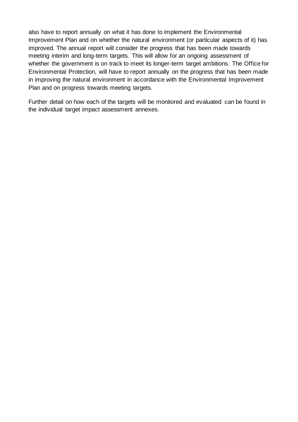also have to report annually on what it has done to implement the Environmental Improvement Plan and on whether the natural environment (or particular aspects of it) has improved. The annual report will consider the progress that has been made towards meeting interim and long-term targets. This will allow for an ongoing assessment of whether the government is on track to meet its longer-term target ambitions. The Office for Environmental Protection, will have to report annually on the progress that has been made in improving the natural environment in accordance with the Environmental Improvement Plan and on progress towards meeting targets.

Further detail on how each of the targets will be monitored and evaluated can be found in the individual target impact assessment annexes.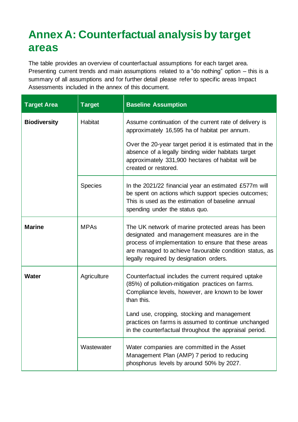# **Annex A: Counterfactual analysis by target areas**

The table provides an overview of counterfactual assumptions for each target area. Presenting current trends and main assumptions related to a "do nothing" option – this is a summary of all assumptions and for further detail please refer to specific areas Impact Assessments included in the annex of this document.

| <b>Target Area</b>  | <b>Target</b>  | <b>Baseline Assumption</b>                                                                                                                                                                                                                                      |
|---------------------|----------------|-----------------------------------------------------------------------------------------------------------------------------------------------------------------------------------------------------------------------------------------------------------------|
| <b>Biodiversity</b> | <b>Habitat</b> | Assume continuation of the current rate of delivery is<br>approximately 16,595 ha of habitat per annum.                                                                                                                                                         |
|                     |                | Over the 20-year target period it is estimated that in the<br>absence of a legally binding wider habitats target<br>approximately 331,900 hectares of habitat will be<br>created or restored.                                                                   |
|                     | <b>Species</b> | In the 2021/22 financial year an estimated £577m will<br>be spent on actions which support species outcomes;<br>This is used as the estimation of baseline annual<br>spending under the status quo.                                                             |
| <b>Marine</b>       | <b>MPAs</b>    | The UK network of marine protected areas has been<br>designated and management measures are in the<br>process of implementation to ensure that these areas<br>are managed to achieve favourable condition status, as<br>legally required by designation orders. |
| <b>Water</b>        | Agriculture    | Counterfactual includes the current required uptake<br>(85%) of pollution-mitigation practices on farms.<br>Compliance levels, however, are known to be lower<br>than this.                                                                                     |
|                     |                | Land use, cropping, stocking and management<br>practices on farms is assumed to continue unchanged<br>in the counterfactual throughout the appraisal period.                                                                                                    |
|                     | Wastewater     | Water companies are committed in the Asset<br>Management Plan (AMP) 7 period to reducing<br>phosphorus levels by around 50% by 2027.                                                                                                                            |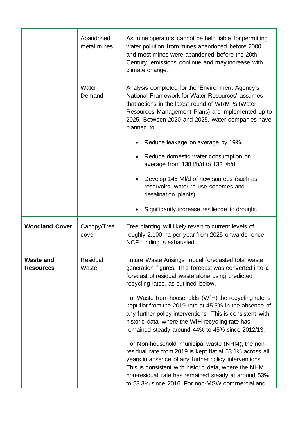|                                      | Abandoned<br>metal mines | As mine operators cannot be held liable for permitting<br>water pollution from mines abandoned before 2000,<br>and most mines were abandoned before the 20th<br>Century, emissions continue and may increase with<br>climate change.                                                                                                     |
|--------------------------------------|--------------------------|------------------------------------------------------------------------------------------------------------------------------------------------------------------------------------------------------------------------------------------------------------------------------------------------------------------------------------------|
|                                      | Water<br>Demand          | Analysis completed for the 'Environment Agency's<br>National Framework for Water Resources' assumes<br>that actions in the latest round of WRMPs (Water<br>Resources Management Plans) are implemented up to<br>2025. Between 2020 and 2025, water companies have<br>planned to:                                                         |
|                                      |                          | Reduce leakage on average by 19%.                                                                                                                                                                                                                                                                                                        |
|                                      |                          | Reduce domestic water consumption on<br>average from 138 I/h/d to 132 I/h/d.                                                                                                                                                                                                                                                             |
|                                      |                          | Develop 145 MI/d of new sources (such as<br>reservoirs, water re-use schemes and<br>desalination plants).                                                                                                                                                                                                                                |
|                                      |                          | Significantly increase resilience to drought.                                                                                                                                                                                                                                                                                            |
| <b>Woodland Cover</b>                | Canopy/Tree<br>cover     | Tree planting will likely revert to current levels of<br>roughly 2,100 ha per year from 2025 onwards, once<br>NCF funding is exhausted.                                                                                                                                                                                                  |
| <b>Waste and</b><br><b>Resources</b> | Residual<br>Waste        | Future Waste Arisings model forecasted total waste<br>generation figures. This forecast was converted into a<br>forecast of residual waste alone using predicted<br>recycling rates, as outlined below.                                                                                                                                  |
|                                      |                          | For Waste from households (WfH) the recycling rate is<br>kept flat from the 2019 rate at 45.5% in the absence of<br>any further policy interventions. This is consistent with<br>historic data, where the WfH recycling rate has<br>remained steady around 44% to 45% since 2012/13.                                                     |
|                                      |                          | For Non-household municipal waste (NHM), the non-<br>residual rate from 2019 is kept flat at 53.1% across all<br>years in absence of any further policy interventions.<br>This is consistent with historic data, where the NHM<br>non-residual rate has remained steady at around 53%<br>to 53.3% since 2016. For non-MSW commercial and |